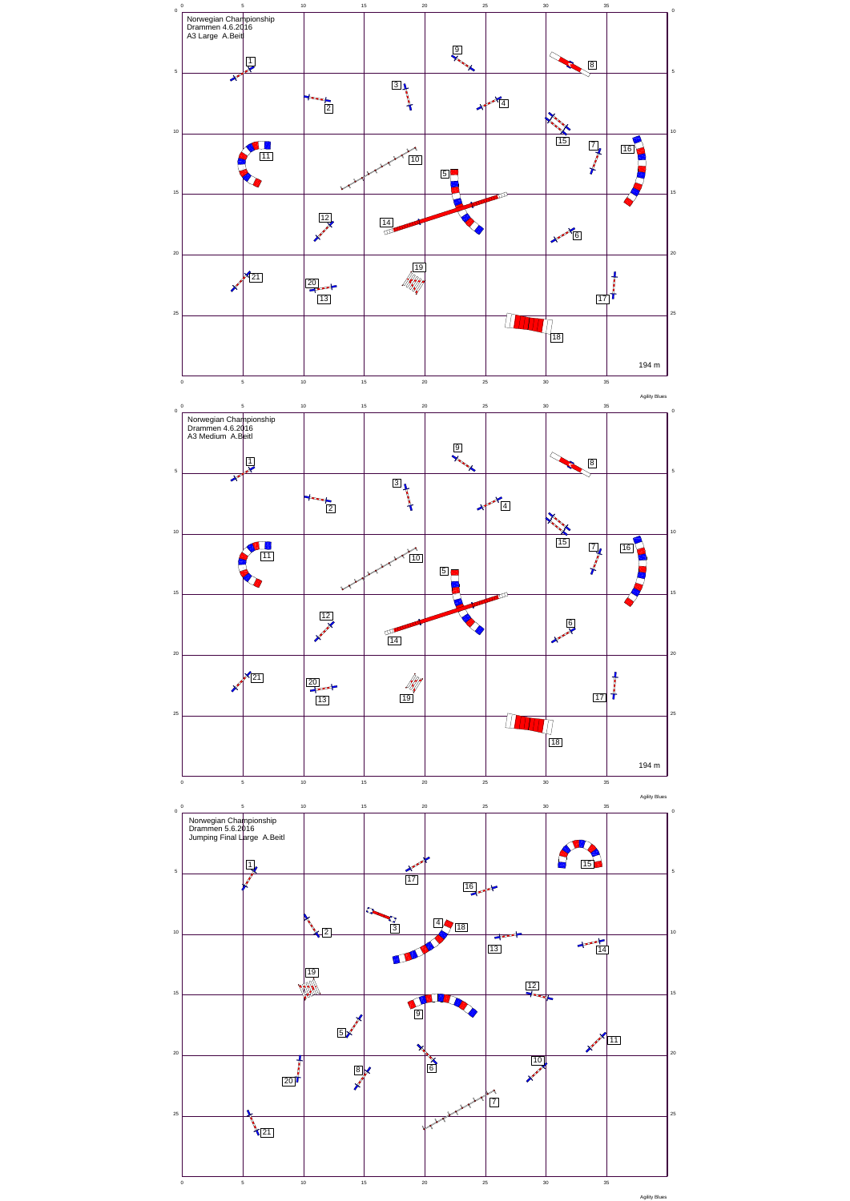